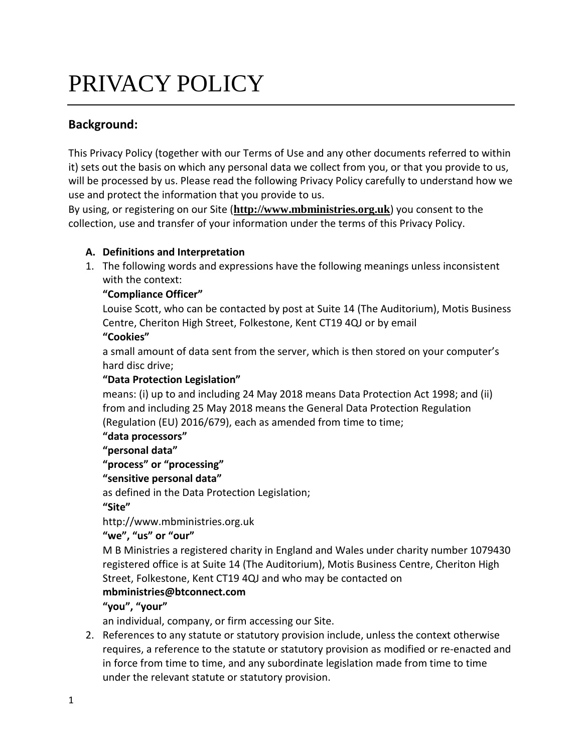# PRIVACY POLICY

# **Background:**

This Privacy Policy (together with our [Terms of Use](https://www.aog.org.uk/terms-and-conditions) and any other documents referred to within it) sets out the basis on which any personal data we collect from you, or that you provide to us, will be processed by us. Please read the following Privacy Policy carefully to understand how we use and protect the information that you provide to us.

By using, or registering on our Site (**[http://www.mbministries.org.uk](http://www.mbministries.org.uk/)**) you consent to the collection, use and transfer of your information under the terms of this Privacy Policy.

## **A. Definitions and Interpretation**

1. The following words and expressions have the following meanings unless inconsistent with the context:

## **"Compliance Officer"**

Louise Scott, who can be contacted by post at Suite 14 (The Auditorium), Motis Business Centre, Cheriton High Street, Folkestone, Kent CT19 4QJ or by email

#### **"Cookies"**

a small amount of data sent from the server, which is then stored on your computer's hard disc drive;

#### **"Data Protection Legislation"**

means: (i) up to and including 24 May 2018 means Data Protection Act 1998; and (ii) from and including 25 May 2018 means the General Data Protection Regulation (Regulation (EU) 2016/679), each as amended from time to time;

# **"data processors"**

**"personal data"**

#### **"process" or "processing"**

#### **"sensitive personal data"**

as defined in the Data Protection Legislation;

**"Site"**

http://www.mbministries.org.uk

**"we", "us" or "our"**

M B Ministries a registered charity in England and Wales under charity number 1079430 registered office is at Suite 14 (The Auditorium), Motis Business Centre, Cheriton High Street, Folkestone, Kent CT19 4QJ and who may be contacted on

# **mbministries@btconnect.com**

#### **"you", "your"**

an individual, company, or firm accessing our Site.

2. References to any statute or statutory provision include, unless the context otherwise requires, a reference to the statute or statutory provision as modified or re-enacted and in force from time to time, and any subordinate legislation made from time to time under the relevant statute or statutory provision.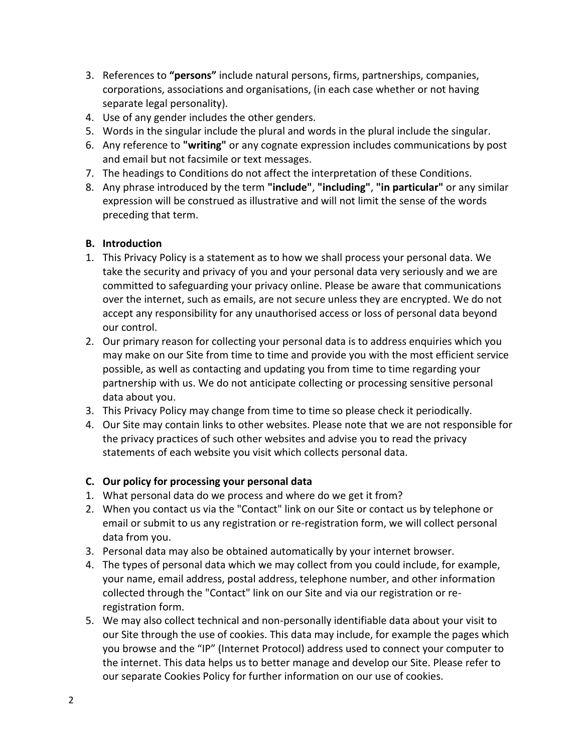- 3. References to **"persons"** include natural persons, firms, partnerships, companies, corporations, associations and organisations, (in each case whether or not having separate legal personality).
- 4. Use of any gender includes the other genders.
- 5. Words in the singular include the plural and words in the plural include the singular.
- 6. Any reference to **"writing"** or any cognate expression includes communications by post and email but not facsimile or text messages.
- 7. The headings to Conditions do not affect the interpretation of these Conditions.
- 8. Any phrase introduced by the term **"include"**, **"including"**, **"in particular"** or any similar expression will be construed as illustrative and will not limit the sense of the words preceding that term.

#### **B. Introduction**

- 1. This Privacy Policy is a statement as to how we shall process your personal data. We take the security and privacy of you and your personal data very seriously and we are committed to safeguarding your privacy online. Please be aware that communications over the internet, such as emails, are not secure unless they are encrypted. We do not accept any responsibility for any unauthorised access or loss of personal data beyond our control.
- 2. Our primary reason for collecting your personal data is to address enquiries which you may make on our Site from time to time and provide you with the most efficient service possible, as well as contacting and updating you from time to time regarding your partnership with us. We do not anticipate collecting or processing sensitive personal data about you.
- 3. This Privacy Policy may change from time to time so please check it periodically.
- 4. Our Site may contain links to other websites. Please note that we are not responsible for the privacy practices of such other websites and advise you to read the privacy statements of each website you visit which collects personal data.

#### **C. Our policy for processing your personal data**

- 1. What personal data do we process and where do we get it from?
- 2. When you contact us via the "Contact" link on our Site or contact us by telephone or email or submit to us any registration or re-registration form, we will collect personal data from you.
- 3. Personal data may also be obtained automatically by your internet browser.
- 4. The types of personal data which we may collect from you could include, for example, your name, email address, postal address, telephone number, and other information collected through the "Contact" link on our Site and via our registration or reregistration form.
- 5. We may also collect technical and non-personally identifiable data about your visit to our Site through the use of cookies. This data may include, for example the pages which you browse and the "IP" (Internet Protocol) address used to connect your computer to the internet. This data helps us to better manage and develop our Site. Please refer to our separate Cookies Policy for further information on our use of cookies.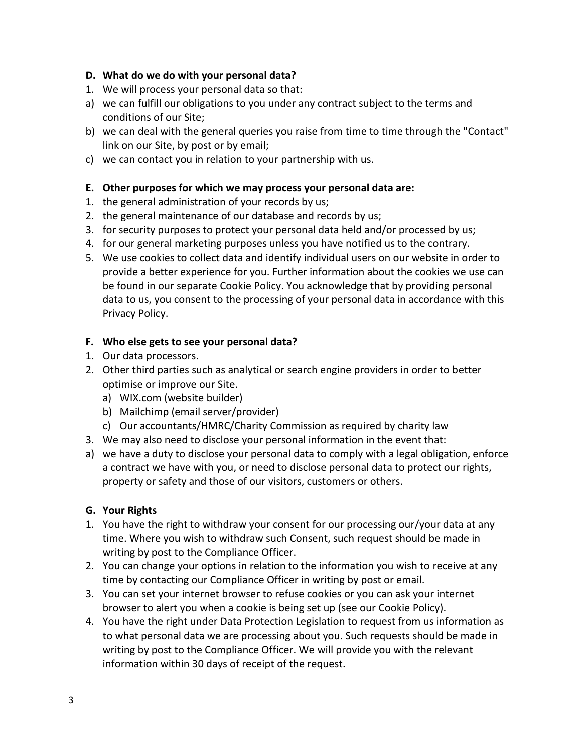#### **D. What do we do with your personal data?**

- 1. We will process your personal data so that:
- a) we can fulfill our obligations to you under any contract subject to the terms and conditions of our Site;
- b) we can deal with the general queries you raise from time to time through the "Contact" link on our Site, by post or by email;
- c) we can contact you in relation to your partnership with us.

#### **E. Other purposes for which we may process your personal data are:**

- 1. the general administration of your records by us;
- 2. the general maintenance of our database and records by us;
- 3. for security purposes to protect your personal data held and/or processed by us;
- 4. for our general marketing purposes unless you have notified us to the contrary.
- 5. We use cookies to collect data and identify individual users on our website in order to provide a better experience for you. Further information about the cookies we use can be found in our separate [Cookie Policy.](https://www.aog.org.uk/cookies-policy) You acknowledge that by providing personal data to us, you consent to the processing of your personal data in accordance with this Privacy Policy.

#### **F. Who else gets to see your personal data?**

- 1. Our data processors.
- 2. Other third parties such as analytical or search engine providers in order to better optimise or improve our Site.
	- a) WIX.com (website builder)
	- b) Mailchimp (email server/provider)
	- c) Our accountants/HMRC/Charity Commission as required by charity law
- 3. We may also need to disclose your personal information in the event that:
- a) we have a duty to disclose your personal data to comply with a legal obligation, enforce a contract we have with you, or need to disclose personal data to protect our rights, property or safety and those of our visitors, customers or others.

#### **G. Your Rights**

- 1. You have the right to withdraw your consent for our processing our/your data at any time. Where you wish to withdraw such Consent, such request should be made in writing by post to the Compliance Officer.
- 2. You can change your options in relation to the information you wish to receive at any time by contacting our Compliance Officer in writing by post or email.
- 3. You can set your internet browser to refuse cookies or you can ask your internet browser to alert you when a cookie is being set up (see our [Cookie Policy\)](https://www.aog.org.uk/cookies-policy).
- 4. You have the right under Data Protection Legislation to request from us information as to what personal data we are processing about you. Such requests should be made in writing by post to the Compliance Officer. We will provide you with the relevant information within 30 days of receipt of the request.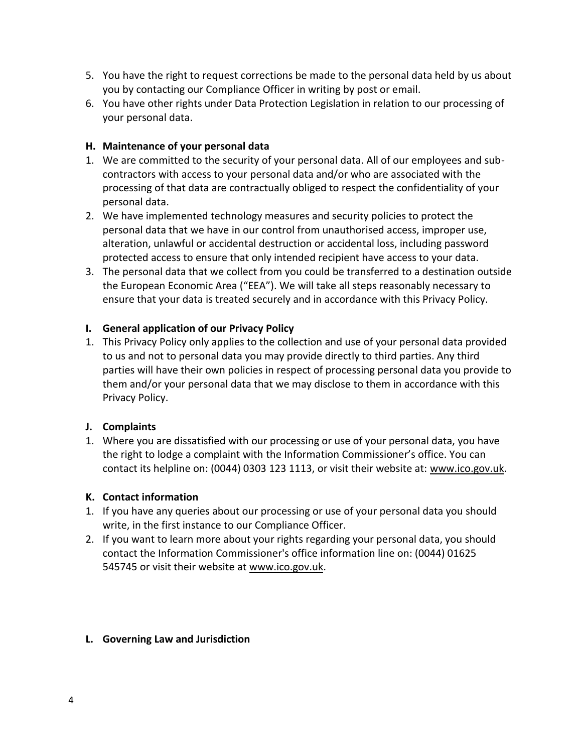- 5. You have the right to request corrections be made to the personal data held by us about you by contacting our Compliance Officer in writing by post or email.
- 6. You have other rights under Data Protection Legislation in relation to our processing of your personal data.

#### **H. Maintenance of your personal data**

- 1. We are committed to the security of your personal data. All of our employees and subcontractors with access to your personal data and/or who are associated with the processing of that data are contractually obliged to respect the confidentiality of your personal data.
- 2. We have implemented technology measures and security policies to protect the personal data that we have in our control from unauthorised access, improper use, alteration, unlawful or accidental destruction or accidental loss, including password protected access to ensure that only intended recipient have access to your data.
- 3. The personal data that we collect from you could be transferred to a destination outside the European Economic Area ("EEA"). We will take all steps reasonably necessary to ensure that your data is treated securely and in accordance with this Privacy Policy.

#### **I. General application of our Privacy Policy**

1. This Privacy Policy only applies to the collection and use of your personal data provided to us and not to personal data you may provide directly to third parties. Any third parties will have their own policies in respect of processing personal data you provide to them and/or your personal data that we may disclose to them in accordance with this Privacy Policy.

#### **J. Complaints**

1. Where you are dissatisfied with our processing or use of your personal data, you have the right to lodge a complaint with the Information Commissioner's office. You can contact its helpline on: (0044) 0303 123 1113, or visit their website at: [www.ico.gov.uk.](http://www.ico.gov.uk/)

#### **K. Contact information**

- 1. If you have any queries about our processing or use of your personal data you should write, in the first instance to our Compliance Officer.
- 2. If you want to learn more about your rights regarding your personal data, you should contact the Information Commissioner's office information line on: (0044) 01625 545745 or visit their website at [www.ico.gov.uk.](http://www.ico.gov.uk/)

#### **L. Governing Law and Jurisdiction**